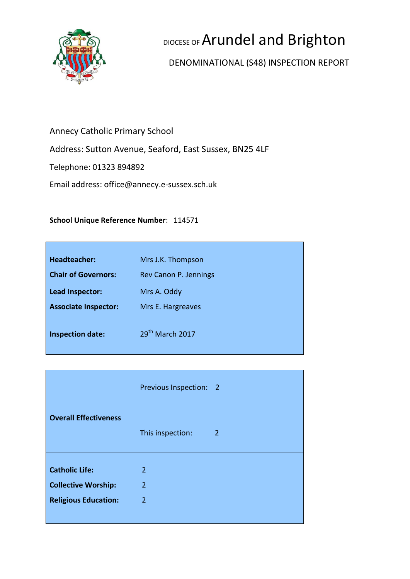

# DIOCESE OF Arundel and Brighton

# DENOMINATIONAL (S48) INSPECTION REPORT

# Annecy Catholic Primary School

Address: Sutton Avenue, Seaford, East Sussex, BN25 4LF

Telephone: 01323 894892

Email address: office@annecy.e-sussex.sch.uk

#### **School Unique Reference Number**: 114571

| <b>Headteacher:</b>         | Mrs J.K. Thompson           |
|-----------------------------|-----------------------------|
| <b>Chair of Governors:</b>  | Rev Canon P. Jennings       |
| Lead Inspector:             | Mrs A. Oddy                 |
| <b>Associate Inspector:</b> | Mrs E. Hargreaves           |
|                             | 29 <sup>th</sup> March 2017 |
| <b>Inspection date:</b>     |                             |
|                             |                             |

|                              | Previous Inspection: 2 |                |
|------------------------------|------------------------|----------------|
| <b>Overall Effectiveness</b> | This inspection:       | $\overline{2}$ |
| <b>Catholic Life:</b>        | $\overline{2}$         |                |
| <b>Collective Worship:</b>   | 2                      |                |
| <b>Religious Education:</b>  | $\overline{2}$         |                |
|                              |                        |                |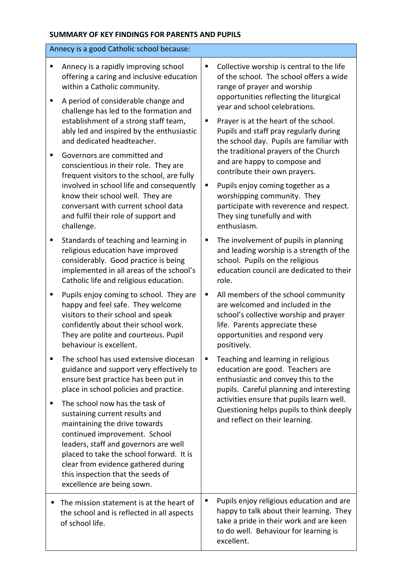#### **SUMMARY OF KEY FINDINGS FOR PARENTS AND PUPILS**

| Annecy is a good Catholic school because:                                                                                                                                                                                                                                                                                                                                                                                                                                                                           |                                                                                                                                                                                                                                                                                                                                                                 |
|---------------------------------------------------------------------------------------------------------------------------------------------------------------------------------------------------------------------------------------------------------------------------------------------------------------------------------------------------------------------------------------------------------------------------------------------------------------------------------------------------------------------|-----------------------------------------------------------------------------------------------------------------------------------------------------------------------------------------------------------------------------------------------------------------------------------------------------------------------------------------------------------------|
| Annecy is a rapidly improving school<br>п<br>offering a caring and inclusive education<br>within a Catholic community.<br>A period of considerable change and<br>п<br>challenge has led to the formation and<br>establishment of a strong staff team,                                                                                                                                                                                                                                                               | Collective worship is central to the life<br>Ξ<br>of the school. The school offers a wide<br>range of prayer and worship<br>opportunities reflecting the liturgical<br>year and school celebrations.<br>Prayer is at the heart of the school.<br>Е                                                                                                              |
| ably led and inspired by the enthusiastic<br>and dedicated headteacher.<br>Governors are committed and<br>٠<br>conscientious in their role. They are<br>frequent visitors to the school, are fully<br>involved in school life and consequently<br>know their school well. They are<br>conversant with current school data<br>and fulfil their role of support and                                                                                                                                                   | Pupils and staff pray regularly during<br>the school day. Pupils are familiar with<br>the traditional prayers of the Church<br>and are happy to compose and<br>contribute their own prayers.<br>Pupils enjoy coming together as a<br>п<br>worshipping community. They<br>participate with reverence and respect.<br>They sing tunefully and with<br>enthusiasm. |
| challenge.<br>Standards of teaching and learning in<br>Е<br>religious education have improved<br>considerably. Good practice is being<br>implemented in all areas of the school's<br>Catholic life and religious education.                                                                                                                                                                                                                                                                                         | The involvement of pupils in planning<br>Е<br>and leading worship is a strength of the<br>school. Pupils on the religious<br>education council are dedicated to their<br>role.                                                                                                                                                                                  |
| Pupils enjoy coming to school. They are<br>п<br>happy and feel safe. They welcome<br>visitors to their school and speak<br>confidently about their school work.<br>They are polite and courteous. Pupil<br>behaviour is excellent.                                                                                                                                                                                                                                                                                  | All members of the school community<br>п<br>are welcomed and included in the<br>school's collective worship and prayer<br>life. Parents appreciate these<br>opportunities and respond very<br>positively.                                                                                                                                                       |
| The school has used extensive diocesan<br>п<br>guidance and support very effectively to<br>ensure best practice has been put in<br>place in school policies and practice.<br>The school now has the task of<br>п<br>sustaining current results and<br>maintaining the drive towards<br>continued improvement. School<br>leaders, staff and governors are well<br>placed to take the school forward. It is<br>clear from evidence gathered during<br>this inspection that the seeds of<br>excellence are being sown. | Teaching and learning in religious<br>п<br>education are good. Teachers are<br>enthusiastic and convey this to the<br>pupils. Careful planning and interesting<br>activities ensure that pupils learn well.<br>Questioning helps pupils to think deeply<br>and reflect on their learning.                                                                       |
| The mission statement is at the heart of<br>the school and is reflected in all aspects<br>of school life.                                                                                                                                                                                                                                                                                                                                                                                                           | Pupils enjoy religious education and are<br>happy to talk about their learning. They<br>take a pride in their work and are keen<br>to do well. Behaviour for learning is<br>excellent.                                                                                                                                                                          |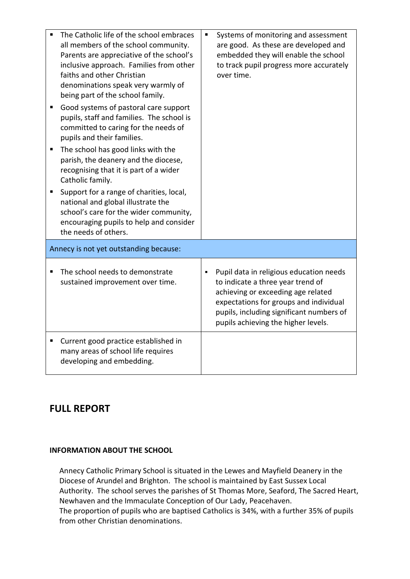|   | The Catholic life of the school embraces<br>all members of the school community.<br>Parents are appreciative of the school's<br>inclusive approach. Families from other<br>faiths and other Christian<br>denominations speak very warmly of<br>being part of the school family. | $\blacksquare$ | Systems of monitoring and assessment<br>are good. As these are developed and<br>embedded they will enable the school<br>to track pupil progress more accurately<br>over time.                                                                   |
|---|---------------------------------------------------------------------------------------------------------------------------------------------------------------------------------------------------------------------------------------------------------------------------------|----------------|-------------------------------------------------------------------------------------------------------------------------------------------------------------------------------------------------------------------------------------------------|
| п | Good systems of pastoral care support<br>pupils, staff and families. The school is<br>committed to caring for the needs of<br>pupils and their families.                                                                                                                        |                |                                                                                                                                                                                                                                                 |
| П | The school has good links with the<br>parish, the deanery and the diocese,<br>recognising that it is part of a wider<br>Catholic family.                                                                                                                                        |                |                                                                                                                                                                                                                                                 |
| Ξ | Support for a range of charities, local,<br>national and global illustrate the<br>school's care for the wider community,<br>encouraging pupils to help and consider<br>the needs of others.                                                                                     |                |                                                                                                                                                                                                                                                 |
|   | Annecy is not yet outstanding because:                                                                                                                                                                                                                                          |                |                                                                                                                                                                                                                                                 |
|   | The school needs to demonstrate<br>sustained improvement over time.                                                                                                                                                                                                             | $\blacksquare$ | Pupil data in religious education needs<br>to indicate a three year trend of<br>achieving or exceeding age related<br>expectations for groups and individual<br>pupils, including significant numbers of<br>pupils achieving the higher levels. |
| Е | Current good practice established in<br>many areas of school life requires<br>developing and embedding.                                                                                                                                                                         |                |                                                                                                                                                                                                                                                 |

# **FULL REPORT**

#### **INFORMATION ABOUT THE SCHOOL**

Annecy Catholic Primary School is situated in the Lewes and Mayfield Deanery in the Diocese of Arundel and Brighton. The school is maintained by East Sussex Local Authority. The school serves the parishes of St Thomas More, Seaford, The Sacred Heart, Newhaven and the Immaculate Conception of Our Lady, Peacehaven. The proportion of pupils who are baptised Catholics is 34%, with a further 35% of pupils

from other Christian denominations.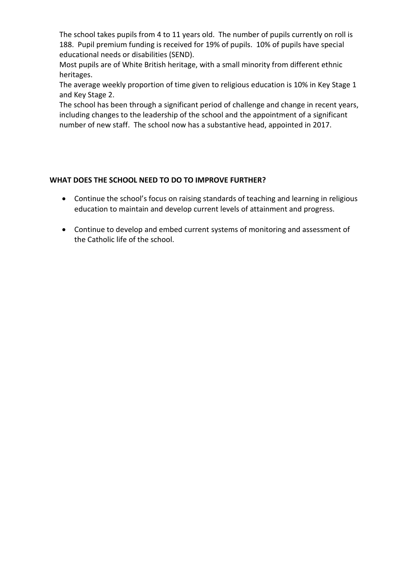The school takes pupils from 4 to 11 years old. The number of pupils currently on roll is 188. Pupil premium funding is received for 19% of pupils. 10% of pupils have special educational needs or disabilities (SEND).

Most pupils are of White British heritage, with a small minority from different ethnic heritages.

The average weekly proportion of time given to religious education is 10% in Key Stage 1 and Key Stage 2.

The school has been through a significant period of challenge and change in recent years, including changes to the leadership of the school and the appointment of a significant number of new staff. The school now has a substantive head, appointed in 2017.

#### **WHAT DOES THE SCHOOL NEED TO DO TO IMPROVE FURTHER?**

- Continue the school's focus on raising standards of teaching and learning in religious education to maintain and develop current levels of attainment and progress.
- Continue to develop and embed current systems of monitoring and assessment of the Catholic life of the school.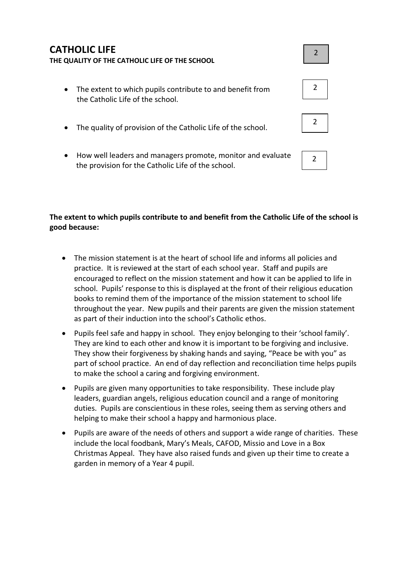# **CATHOLIC LIFE THE QUALITY OF THE CATHOLIC LIFE OF THE SCHOOL**

- The extent to which pupils contribute to and benefit from the Catholic Life of the school.
- The quality of provision of the Catholic Life of the school.
- How well leaders and managers promote, monitor and evaluate the provision for the Catholic Life of the school.

#### **The extent to which pupils contribute to and benefit from the Catholic Life of the school is good because:**

- The mission statement is at the heart of school life and informs all policies and practice. It is reviewed at the start of each school year. Staff and pupils are encouraged to reflect on the mission statement and how it can be applied to life in school. Pupils' response to this is displayed at the front of their religious education books to remind them of the importance of the mission statement to school life throughout the year. New pupils and their parents are given the mission statement as part of their induction into the school's Catholic ethos.
- Pupils feel safe and happy in school. They enjoy belonging to their 'school family'. They are kind to each other and know it is important to be forgiving and inclusive. They show their forgiveness by shaking hands and saying, "Peace be with you" as part of school practice. An end of day reflection and reconciliation time helps pupils to make the school a caring and forgiving environment.
- Pupils are given many opportunities to take responsibility. These include play leaders, guardian angels, religious education council and a range of monitoring duties. Pupils are conscientious in these roles, seeing them as serving others and helping to make their school a happy and harmonious place.
- Pupils are aware of the needs of others and support a wide range of charities. These include the local foodbank, Mary's Meals, CAFOD, Missio and Love in a Box Christmas Appeal. They have also raised funds and given up their time to create a garden in memory of a Year 4 pupil.



2



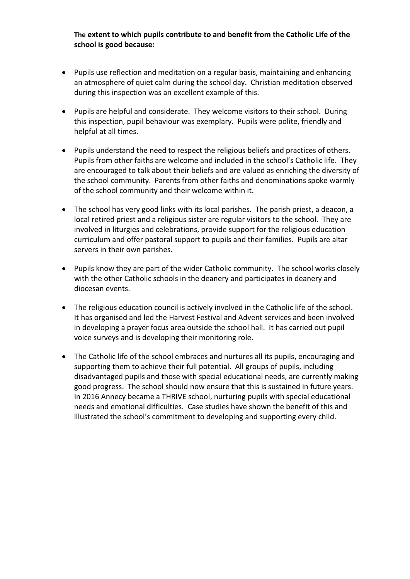**The extent to which pupils contribute to and benefit from the Catholic Life of the school is good because:**

- Pupils use reflection and meditation on a regular basis, maintaining and enhancing an atmosphere of quiet calm during the school day. Christian meditation observed during this inspection was an excellent example of this.
- Pupils are helpful and considerate. They welcome visitors to their school. During this inspection, pupil behaviour was exemplary. Pupils were polite, friendly and helpful at all times.
- Pupils understand the need to respect the religious beliefs and practices of others. Pupils from other faiths are welcome and included in the school's Catholic life. They are encouraged to talk about their beliefs and are valued as enriching the diversity of the school community. Parents from other faiths and denominations spoke warmly of the school community and their welcome within it.
- The school has very good links with its local parishes. The parish priest, a deacon, a local retired priest and a religious sister are regular visitors to the school. They are involved in liturgies and celebrations, provide support for the religious education curriculum and offer pastoral support to pupils and their families. Pupils are altar servers in their own parishes.
- Pupils know they are part of the wider Catholic community. The school works closely with the other Catholic schools in the deanery and participates in deanery and diocesan events.
- The religious education council is actively involved in the Catholic life of the school. It has organised and led the Harvest Festival and Advent services and been involved in developing a prayer focus area outside the school hall. It has carried out pupil voice surveys and is developing their monitoring role.
- The Catholic life of the school embraces and nurtures all its pupils, encouraging and supporting them to achieve their full potential. All groups of pupils, including disadvantaged pupils and those with special educational needs, are currently making good progress. The school should now ensure that this is sustained in future years. In 2016 Annecy became a THRIVE school, nurturing pupils with special educational needs and emotional difficulties. Case studies have shown the benefit of this and illustrated the school's commitment to developing and supporting every child.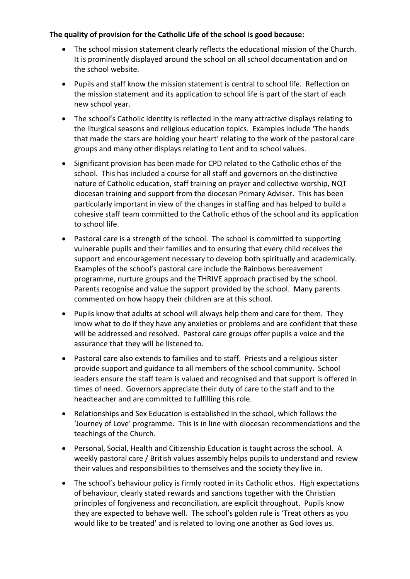#### **The quality of provision for the Catholic Life of the school is good because:**

- The school mission statement clearly reflects the educational mission of the Church. It is prominently displayed around the school on all school documentation and on the school website.
- Pupils and staff know the mission statement is central to school life. Reflection on the mission statement and its application to school life is part of the start of each new school year.
- The school's Catholic identity is reflected in the many attractive displays relating to the liturgical seasons and religious education topics. Examples include 'The hands that made the stars are holding your heart' relating to the work of the pastoral care groups and many other displays relating to Lent and to school values.
- Significant provision has been made for CPD related to the Catholic ethos of the school. This has included a course for all staff and governors on the distinctive nature of Catholic education, staff training on prayer and collective worship, NQT diocesan training and support from the diocesan Primary Adviser. This has been particularly important in view of the changes in staffing and has helped to build a cohesive staff team committed to the Catholic ethos of the school and its application to school life.
- Pastoral care is a strength of the school. The school is committed to supporting vulnerable pupils and their families and to ensuring that every child receives the support and encouragement necessary to develop both spiritually and academically. Examples of the school's pastoral care include the Rainbows bereavement programme, nurture groups and the THRIVE approach practised by the school. Parents recognise and value the support provided by the school. Many parents commented on how happy their children are at this school.
- Pupils know that adults at school will always help them and care for them. They know what to do if they have any anxieties or problems and are confident that these will be addressed and resolved. Pastoral care groups offer pupils a voice and the assurance that they will be listened to.
- Pastoral care also extends to families and to staff. Priests and a religious sister provide support and guidance to all members of the school community. School leaders ensure the staff team is valued and recognised and that support is offered in times of need. Governors appreciate their duty of care to the staff and to the headteacher and are committed to fulfilling this role.
- Relationships and Sex Education is established in the school, which follows the 'Journey of Love' programme. This is in line with diocesan recommendations and the teachings of the Church.
- Personal, Social, Health and Citizenship Education is taught across the school. A weekly pastoral care / British values assembly helps pupils to understand and review their values and responsibilities to themselves and the society they live in.
- The school's behaviour policy is firmly rooted in its Catholic ethos. High expectations of behaviour, clearly stated rewards and sanctions together with the Christian principles of forgiveness and reconciliation, are explicit throughout. Pupils know they are expected to behave well. The school's golden rule is 'Treat others as you would like to be treated' and is related to loving one another as God loves us.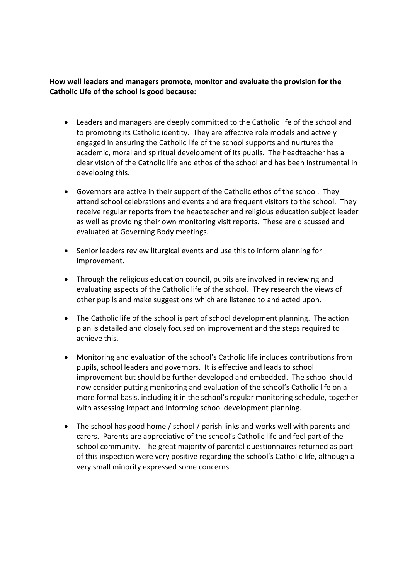**How well leaders and managers promote, monitor and evaluate the provision for the Catholic Life of the school is good because:**

- Leaders and managers are deeply committed to the Catholic life of the school and to promoting its Catholic identity. They are effective role models and actively engaged in ensuring the Catholic life of the school supports and nurtures the academic, moral and spiritual development of its pupils. The headteacher has a clear vision of the Catholic life and ethos of the school and has been instrumental in developing this.
- Governors are active in their support of the Catholic ethos of the school. They attend school celebrations and events and are frequent visitors to the school. They receive regular reports from the headteacher and religious education subject leader as well as providing their own monitoring visit reports. These are discussed and evaluated at Governing Body meetings.
- Senior leaders review liturgical events and use this to inform planning for improvement.
- Through the religious education council, pupils are involved in reviewing and evaluating aspects of the Catholic life of the school. They research the views of other pupils and make suggestions which are listened to and acted upon.
- The Catholic life of the school is part of school development planning. The action plan is detailed and closely focused on improvement and the steps required to achieve this.
- Monitoring and evaluation of the school's Catholic life includes contributions from pupils, school leaders and governors. It is effective and leads to school improvement but should be further developed and embedded. The school should now consider putting monitoring and evaluation of the school's Catholic life on a more formal basis, including it in the school's regular monitoring schedule, together with assessing impact and informing school development planning.
- The school has good home / school / parish links and works well with parents and carers. Parents are appreciative of the school's Catholic life and feel part of the school community. The great majority of parental questionnaires returned as part of this inspection were very positive regarding the school's Catholic life, although a very small minority expressed some concerns.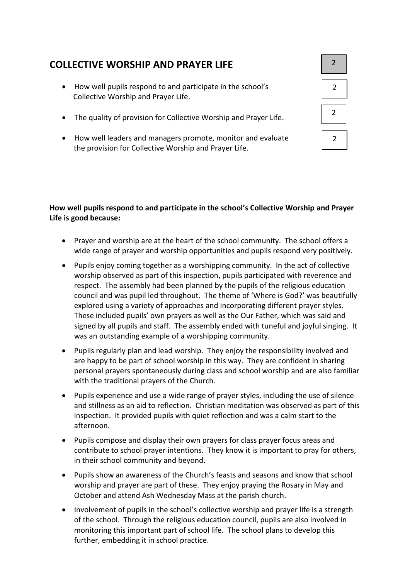# **COLLECTIVE WORSHIP AND PRAYER LIFE**

- How well pupils respond to and participate in the school's Collective Worship and Prayer Life.
- The quality of provision for Collective Worship and Prayer Life.
- How well leaders and managers promote, monitor and evaluate the provision for Collective Worship and Prayer Life.

| $\overline{2}$ |  |
|----------------|--|
| $\overline{2}$ |  |
| $\overline{2}$ |  |
| 2              |  |

#### **How well pupils respond to and participate in the school's Collective Worship and Prayer Life is good because:**

- Prayer and worship are at the heart of the school community. The school offers a wide range of prayer and worship opportunities and pupils respond very positively.
- Pupils enjoy coming together as a worshipping community. In the act of collective worship observed as part of this inspection, pupils participated with reverence and respect. The assembly had been planned by the pupils of the religious education council and was pupil led throughout. The theme of 'Where is God?' was beautifully explored using a variety of approaches and incorporating different prayer styles. These included pupils' own prayers as well as the Our Father, which was said and signed by all pupils and staff. The assembly ended with tuneful and joyful singing. It was an outstanding example of a worshipping community.
- Pupils regularly plan and lead worship. They enjoy the responsibility involved and are happy to be part of school worship in this way. They are confident in sharing personal prayers spontaneously during class and school worship and are also familiar with the traditional prayers of the Church.
- Pupils experience and use a wide range of prayer styles, including the use of silence and stillness as an aid to reflection. Christian meditation was observed as part of this inspection. It provided pupils with quiet reflection and was a calm start to the afternoon.
- Pupils compose and display their own prayers for class prayer focus areas and contribute to school prayer intentions. They know it is important to pray for others, in their school community and beyond.
- Pupils show an awareness of the Church's feasts and seasons and know that school worship and prayer are part of these. They enjoy praying the Rosary in May and October and attend Ash Wednesday Mass at the parish church.
- Involvement of pupils in the school's collective worship and prayer life is a strength of the school. Through the religious education council, pupils are also involved in monitoring this important part of school life. The school plans to develop this further, embedding it in school practice.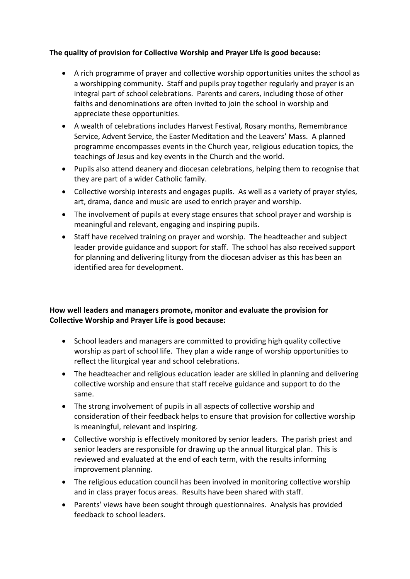#### **The quality of provision for Collective Worship and Prayer Life is good because:**

- A rich programme of prayer and collective worship opportunities unites the school as a worshipping community. Staff and pupils pray together regularly and prayer is an integral part of school celebrations. Parents and carers, including those of other faiths and denominations are often invited to join the school in worship and appreciate these opportunities.
- A wealth of celebrations includes Harvest Festival, Rosary months, Remembrance Service, Advent Service, the Easter Meditation and the Leavers' Mass. A planned programme encompasses events in the Church year, religious education topics, the teachings of Jesus and key events in the Church and the world.
- Pupils also attend deanery and diocesan celebrations, helping them to recognise that they are part of a wider Catholic family.
- Collective worship interests and engages pupils. As well as a variety of prayer styles, art, drama, dance and music are used to enrich prayer and worship.
- The involvement of pupils at every stage ensures that school prayer and worship is meaningful and relevant, engaging and inspiring pupils.
- Staff have received training on prayer and worship. The headteacher and subject leader provide guidance and support for staff. The school has also received support for planning and delivering liturgy from the diocesan adviser as this has been an identified area for development.

#### **How well leaders and managers promote, monitor and evaluate the provision for Collective Worship and Prayer Life is good because:**

- School leaders and managers are committed to providing high quality collective worship as part of school life. They plan a wide range of worship opportunities to reflect the liturgical year and school celebrations.
- The headteacher and religious education leader are skilled in planning and delivering collective worship and ensure that staff receive guidance and support to do the same.
- The strong involvement of pupils in all aspects of collective worship and consideration of their feedback helps to ensure that provision for collective worship is meaningful, relevant and inspiring.
- Collective worship is effectively monitored by senior leaders. The parish priest and senior leaders are responsible for drawing up the annual liturgical plan. This is reviewed and evaluated at the end of each term, with the results informing improvement planning.
- The religious education council has been involved in monitoring collective worship and in class prayer focus areas. Results have been shared with staff.
- Parents' views have been sought through questionnaires. Analysis has provided feedback to school leaders.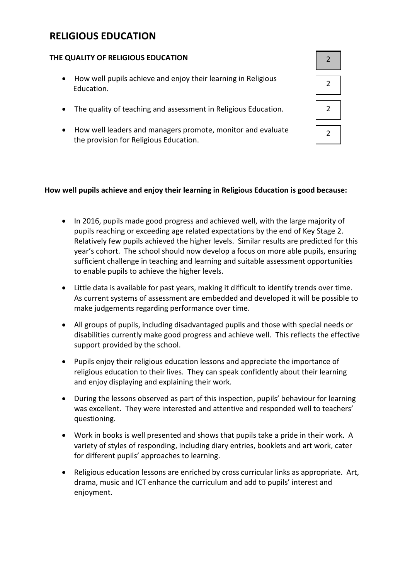# **RELIGIOUS EDUCATION**

#### **THE QUALITY OF RELIGIOUS EDUCATION**

- How well pupils achieve and enjoy their learning in Religious Education.
- The quality of teaching and assessment in Religious Education.
- How well leaders and managers promote, monitor and evaluate the provision for Religious Education.

#### **How well pupils achieve and enjoy their learning in Religious Education is good because:**

- In 2016, pupils made good progress and achieved well, with the large majority of pupils reaching or exceeding age related expectations by the end of Key Stage 2. Relatively few pupils achieved the higher levels. Similar results are predicted for this year's cohort. The school should now develop a focus on more able pupils, ensuring sufficient challenge in teaching and learning and suitable assessment opportunities to enable pupils to achieve the higher levels.
- Little data is available for past years, making it difficult to identify trends over time. As current systems of assessment are embedded and developed it will be possible to make judgements regarding performance over time.
- All groups of pupils, including disadvantaged pupils and those with special needs or disabilities currently make good progress and achieve well. This reflects the effective support provided by the school.
- Pupils enjoy their religious education lessons and appreciate the importance of religious education to their lives. They can speak confidently about their learning and enjoy displaying and explaining their work.
- During the lessons observed as part of this inspection, pupils' behaviour for learning was excellent. They were interested and attentive and responded well to teachers' questioning.
- Work in books is well presented and shows that pupils take a pride in their work. A variety of styles of responding, including diary entries, booklets and art work, cater for different pupils' approaches to learning.
- Religious education lessons are enriched by cross curricular links as appropriate. Art, drama, music and ICT enhance the curriculum and add to pupils' interest and enjoyment.

| $\overline{2}$ |  |
|----------------|--|
| $\overline{c}$ |  |
| $\overline{2}$ |  |
| 2              |  |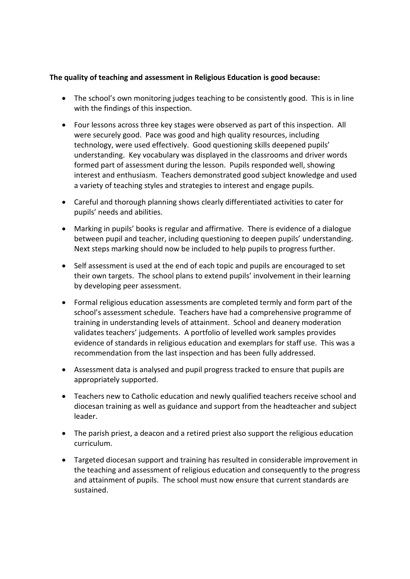#### **The quality of teaching and assessment in Religious Education is good because:**

- The school's own monitoring judges teaching to be consistently good. This is in line with the findings of this inspection.
- Four lessons across three key stages were observed as part of this inspection. All were securely good. Pace was good and high quality resources, including technology, were used effectively. Good questioning skills deepened pupils' understanding. Key vocabulary was displayed in the classrooms and driver words formed part of assessment during the lesson. Pupils responded well, showing interest and enthusiasm. Teachers demonstrated good subject knowledge and used a variety of teaching styles and strategies to interest and engage pupils.
- Careful and thorough planning shows clearly differentiated activities to cater for pupils' needs and abilities.
- Marking in pupils' books is regular and affirmative. There is evidence of a dialogue between pupil and teacher, including questioning to deepen pupils' understanding. Next steps marking should now be included to help pupils to progress further.
- Self assessment is used at the end of each topic and pupils are encouraged to set their own targets. The school plans to extend pupils' involvement in their learning by developing peer assessment.
- Formal religious education assessments are completed termly and form part of the school's assessment schedule. Teachers have had a comprehensive programme of training in understanding levels of attainment. School and deanery moderation validates teachers' judgements. A portfolio of levelled work samples provides evidence of standards in religious education and exemplars for staff use. This was a recommendation from the last inspection and has been fully addressed.
- Assessment data is analysed and pupil progress tracked to ensure that pupils are appropriately supported.
- Teachers new to Catholic education and newly qualified teachers receive school and diocesan training as well as guidance and support from the headteacher and subject leader.
- The parish priest, a deacon and a retired priest also support the religious education curriculum.
- Targeted diocesan support and training has resulted in considerable improvement in the teaching and assessment of religious education and consequently to the progress and attainment of pupils. The school must now ensure that current standards are sustained.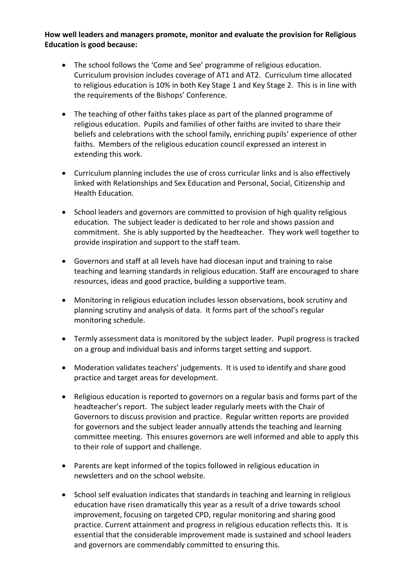#### **How well leaders and managers promote, monitor and evaluate the provision for Religious Education is good because:**

- The school follows the 'Come and See' programme of religious education. Curriculum provision includes coverage of AT1 and AT2. Curriculum time allocated to religious education is 10% in both Key Stage 1 and Key Stage 2. This is in line with the requirements of the Bishops' Conference.
- The teaching of other faiths takes place as part of the planned programme of religious education. Pupils and families of other faiths are invited to share their beliefs and celebrations with the school family, enriching pupils' experience of other faiths. Members of the religious education council expressed an interest in extending this work.
- Curriculum planning includes the use of cross curricular links and is also effectively linked with Relationships and Sex Education and Personal, Social, Citizenship and Health Education.
- School leaders and governors are committed to provision of high quality religious education. The subject leader is dedicated to her role and shows passion and commitment. She is ably supported by the headteacher. They work well together to provide inspiration and support to the staff team.
- Governors and staff at all levels have had diocesan input and training to raise teaching and learning standards in religious education. Staff are encouraged to share resources, ideas and good practice, building a supportive team.
- Monitoring in religious education includes lesson observations, book scrutiny and planning scrutiny and analysis of data. It forms part of the school's regular monitoring schedule.
- Termly assessment data is monitored by the subject leader. Pupil progress is tracked on a group and individual basis and informs target setting and support.
- Moderation validates teachers' judgements. It is used to identify and share good practice and target areas for development.
- Religious education is reported to governors on a regular basis and forms part of the headteacher's report. The subject leader regularly meets with the Chair of Governors to discuss provision and practice. Regular written reports are provided for governors and the subject leader annually attends the teaching and learning committee meeting. This ensures governors are well informed and able to apply this to their role of support and challenge.
- Parents are kept informed of the topics followed in religious education in newsletters and on the school website.
- School self evaluation indicates that standards in teaching and learning in religious education have risen dramatically this year as a result of a drive towards school improvement, focusing on targeted CPD, regular monitoring and sharing good practice. Current attainment and progress in religious education reflects this. It is essential that the considerable improvement made is sustained and school leaders and governors are commendably committed to ensuring this.